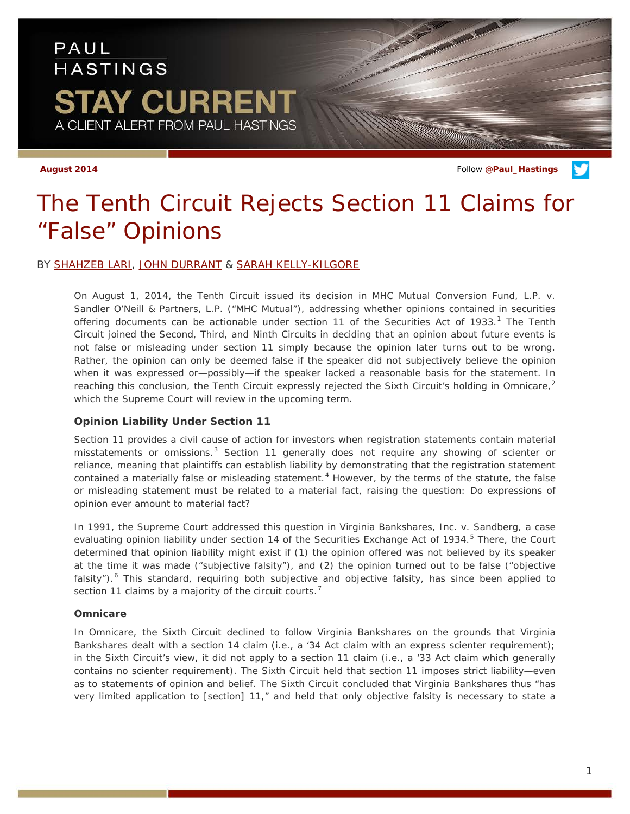# PAUL **HASTINGS** TAY CURRENT A CLIENT ALERT FROM PAUL HASTINGS

**August 2014** Follow **[@Paul\\_Hastings](http://twitter.com/Paul_Hastings)**

# *The Tenth Circuit Rejects Section 11 Claims for "False" Opinions*

# BY [SHAHZEB LARI,](http://paulhastings.com/Professionals/details/shahzeblari/) [JOHN DURRANT](http://paulhastings.com/Professionals/details/johndurrant/) & [SARAH KELLY-KILGORE](http://paulhastings.com/Professionals/details/sarahkellykilgore/)

On August 1, 2014, the Tenth Circuit issued its decision in *MHC Mutual Conversion Fund, L.P. v. Sandler O'Neill & Partners, L.P.* ("*MHC Mutual*"), addressing whether opinions contained in securities offering documents can be actionable under section [1](#page-3-0)1 of the Securities Act of 1933.<sup>1</sup> The Tenth Circuit joined the Second, Third, and Ninth Circuits in deciding that an opinion about future events is not false or misleading under section 11 simply because the opinion later turns out to be wrong. Rather, the opinion can only be deemed false if the speaker did not subjectively believe the opinion when it was expressed or—possibly—if the speaker lacked a reasonable basis for the statement. In reaching this conclusion, the Tenth Circuit expressly rejected the Sixth Circuit's holding in *Omnicare*, [2](#page-3-1) which the Supreme Court will review in the upcoming term.

# **Opinion Liability Under Section 11**

Section 11 provides a civil cause of action for investors when registration statements contain material misstatements or omissions.<sup>[3](#page-3-2)</sup> Section 11 generally does not require any showing of scienter or reliance, meaning that plaintiffs can establish liability by demonstrating that the registration statement contained a materially false or misleading statement.<sup>[4](#page-3-3)</sup> However, by the terms of the statute, the false or misleading statement must be related to a material *fact*, raising the question: *Do expressions of opinion ever amount to material fact*?

In 1991, the Supreme Court addressed this question in *Virginia Bankshares, Inc. v. Sandberg*, a case evaluating opinion liability under section 14 of the Securities Exchange Act of 1934.<sup>[5](#page-3-4)</sup> There, the Court determined that opinion liability might exist if (1) the opinion offered was not believed by its speaker at the time it was made ("subjective falsity"), and (2) the opinion turned out to be false ("objective falsity").<sup>[6](#page-3-5)</sup> This standard, requiring both subjective and objective falsity, has since been applied to section 11 claims by a majority of the circuit courts.<sup>[7](#page-3-6)</sup>

# *Omnicare*

In *Omnicare*, the Sixth Circuit declined to follow *Virginia Bankshares* on the grounds that *Virginia Bankshares* dealt with a section 14 claim (*i.e.*, a '34 Act claim with an express scienter requirement); in the Sixth Circuit's view, it did not apply to a section 11 claim (*i.e.*, a '33 Act claim which generally contains no scienter requirement). The Sixth Circuit held that section 11 imposes strict liability—even as to statements of opinion and belief. The Sixth Circuit concluded that *Virginia Bankshares* thus "has very limited application to [section] 11," and held that only objective falsity is necessary to state a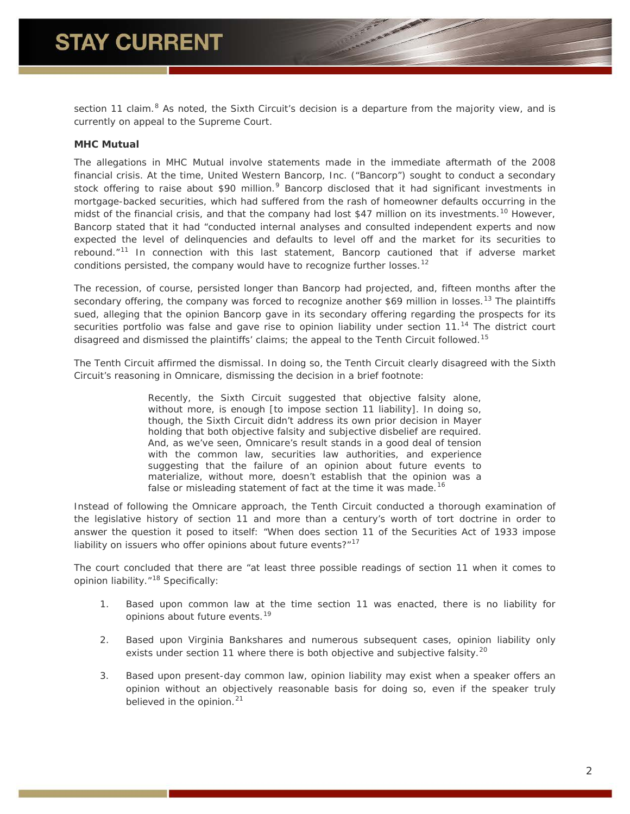section 11 claim.<sup>[8](#page-3-7)</sup> As noted, the Sixth Circuit's decision is a departure from the majority view, and is currently on appeal to the Supreme Court.

# *MHC Mutual*

The allegations in *MHC Mutual* involve statements made in the immediate aftermath of the 2008 financial crisis. At the time, United Western Bancorp, Inc. ("Bancorp") sought to conduct a secondary stock offering to raise about \$[9](#page-3-8)0 million.<sup>9</sup> Bancorp disclosed that it had significant investments in mortgage-backed securities, which had suffered from the rash of homeowner defaults occurring in the midst of the financial crisis, and that the company had lost \$47 million on its investments.<sup>[10](#page-3-9)</sup> However, Bancorp stated that it had "conducted internal analyses and consulted independent experts and now expected the level of delinquencies and defaults to level off and the market for its securities to rebound."[11](#page-3-10) In connection with this last statement, Bancorp cautioned that if adverse market conditions persisted, the company would have to recognize further losses.<sup>[12](#page-3-11)</sup>

The recession, of course, persisted longer than Bancorp had projected, and, fifteen months after the secondary offering, the company was forced to recognize another \$69 million in losses.<sup>[13](#page-3-12)</sup> The plaintiffs sued, alleging that the opinion Bancorp gave in its secondary offering regarding the prospects for its securities portfolio was false and gave rise to opinion liability under section 11.<sup>[14](#page-3-13)</sup> The district court disagreed and dismissed the plaintiffs' claims; the appeal to the Tenth Circuit followed.[15](#page-3-14)

The Tenth Circuit affirmed the dismissal. In doing so, the Tenth Circuit clearly disagreed with the Sixth Circuit's reasoning in *Omnicare*, dismissing the decision in a brief footnote:

> Recently, the Sixth Circuit suggested that objective falsity alone, without more, is enough [to impose section 11 liability]. In doing so, though, the Sixth Circuit didn't address its own prior decision in *Mayer* holding that both objective falsity and subjective disbelief are required. And, as we've seen, *Omnicare*'s result stands in a good deal of tension with the common law, securities law authorities, and experience suggesting that *the failure of an opinion about future events to materialize, without more, doesn't establish that the opinion was a*  false or misleading statement of fact at the time it was made.<sup>[16](#page-3-15)</sup>

Instead of following the *Omnicare* approach, the Tenth Circuit conducted a thorough examination of the legislative history of section 11 and more than a century's worth of tort doctrine in order to answer the question it posed to itself: "When does section 11 of the Securities Act of 1933 impose liability on issuers who offer opinions about future events?"<sup>[17](#page-3-16)</sup>

The court concluded that there are "at least three possible readings of section 11 when it comes to opinion liability."<sup>[18](#page-3-17)</sup> Specifically:

- 1. Based upon common law at the time section 11 was enacted, there is no liability for opinions about future events.<sup>[19](#page-3-18)</sup>
- 2. Based upon *Virginia Bankshares* and numerous subsequent cases, opinion liability only exists under section 11 where there is both objective and subjective falsity.<sup>[20](#page-3-19)</sup>
- 3. Based upon present-day common law, opinion liability may exist when a speaker offers an opinion without an objectively reasonable basis for doing so, even if the speaker truly believed in the opinion.<sup>[21](#page-3-20)</sup>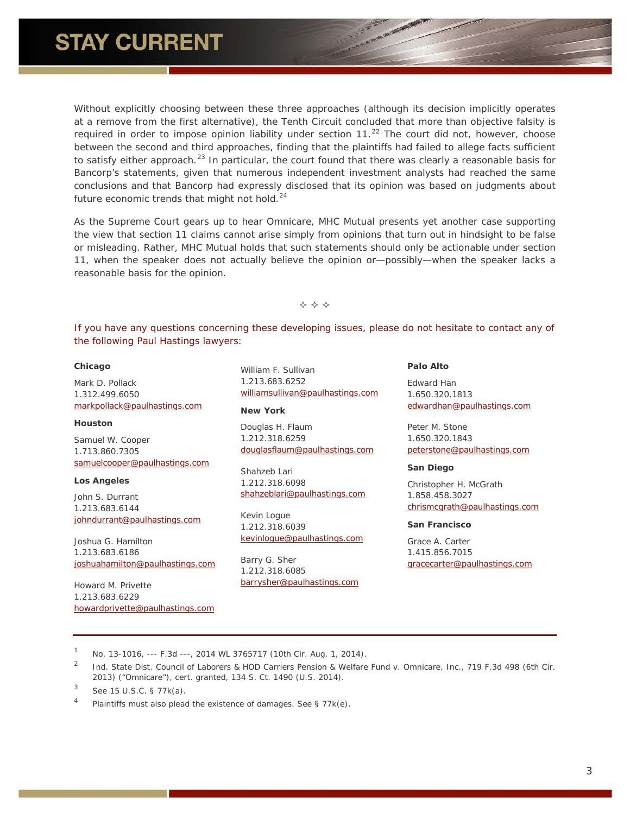Without explicitly choosing between these three approaches (although its decision implicitly operates at a remove from the first alternative), the Tenth Circuit concluded that more than objective falsity is required in order to impose opinion liability under section  $11<sup>.22</sup>$  $11<sup>.22</sup>$  $11<sup>.22</sup>$  The court did not, however, choose between the second and third approaches, finding that the plaintiffs had failed to allege facts sufficient to satisfy either approach.<sup>[23](#page-3-22)</sup> In particular, the court found that there was clearly a reasonable basis for Bancorp's statements, given that numerous independent investment analysts had reached the same conclusions and that Bancorp had expressly disclosed that its opinion was based on judgments about future economic trends that might not hold. $24$ 

As the Supreme Court gears up to hear *Omnicare*, *MHC Mutual* presents yet another case supporting the view that section 11 claims cannot arise simply from opinions that turn out in hindsight to be false or misleading. Rather, *MHC Mutual* holds that such statements should only be actionable under section 11, when the speaker does not actually believe the opinion or—possibly—when the speaker lacks a reasonable basis for the opinion.

 $\Leftrightarrow$   $\Leftrightarrow$   $\Leftrightarrow$ 

*If you have any questions concerning these developing issues, please do not hesitate to contact any of the following Paul Hastings lawyers:*

#### **Chicago**

Mark D. Pollack 1.312.499.6050 [markpollack@paulhastings.com](mailto:markpollack@paulhastings.com)

#### **Houston**

Samuel W. Cooper 1.713.860.7305 [samuelcooper@paulhastings.com](mailto:samuelcooper@paulhastings.com)

#### **Los Angeles**

John S. Durrant 1.213.683.6144 [johndurrant@paulhastings.com](mailto:johndurrant@paulhastings.com)

Joshua G. Hamilton 1.213.683.6186 [joshuahamilton@paulhastings.com](mailto:joshuahamilton@paulhastings.com)

Howard M. Privette 1.213.683.6229 [howardprivette@paulhastings.com](mailto:howardprivette@paulhastings.com) William F. Sullivan 1.213.683.6252 [williamsullivan@paulhastings.com](mailto:williamsullivan@paulhastings.com)

#### **New York**

Douglas H. Flaum 1.212.318.6259 [douglasflaum@paulhastings.com](mailto:douglasflaum@paulhastings.com)

Shahzeb Lari 1.212.318.6098 [shahzeblari@paulhastings.com](mailto:shahzeblari@paulhastings.com)

Kevin Logue 1.212.318.6039 [kevinlogue@paulhastings.com](mailto:kevinlogue@paulhastings.com)

Barry G. Sher 1.212.318.6085 [barrysher@paulhastings.com](mailto:barrysher@paulhastings.com) **Palo Alto**

Edward Han 1.650.320.1813 [edwardhan@paulhastings.com](mailto:edwardhan@paulhastings.com)

Peter M. Stone 1.650.320.1843 [peterstone@paulhastings.com](mailto:peterstone@paulhastings.com)

### **San Diego**

Christopher H. McGrath 1.858.458.3027 [chrismcgrath@paulhastings.com](mailto:chrismcgrath@paulhastings.com)

#### **San Francisco**

Grace A. Carter 1.415.856.7015 [gracecarter@paulhastings.com](mailto:gracecarter@paulhastings.com)

<sup>1</sup> No. 13-1016, --- F.3d ---, 2014 WL 3765717 (10th Cir. Aug. 1, 2014).

<sup>2</sup> *Ind. State Dist. Council of Laborers & HOD Carriers Pension & Welfare Fund v. Omnicare, Inc.*, 719 F.3d 498 (6th Cir. 2013) ("*Omnicare*"), *cert. granted*, 134 S. Ct. 1490 (U.S. 2014).

<sup>4</sup> Plaintiffs must also plead the existence of damages. *See* § 77k(e).

<sup>3</sup> *See* 15 U.S.C. § 77k(a).